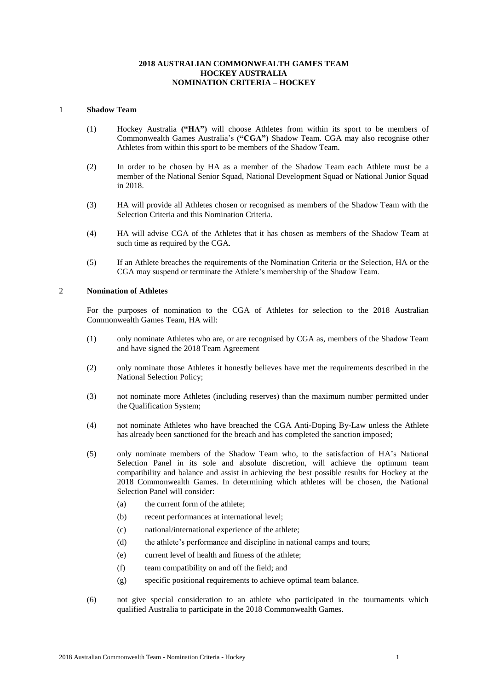# **2018 AUSTRALIAN COMMONWEALTH GAMES TEAM HOCKEY AUSTRALIA NOMINATION CRITERIA – HOCKEY**

#### 1 **Shadow Team**

- (1) Hockey Australia **("HA")** will choose Athletes from within its sport to be members of Commonwealth Games Australia's **("CGA")** Shadow Team. CGA may also recognise other Athletes from within this sport to be members of the Shadow Team.
- (2) In order to be chosen by HA as a member of the Shadow Team each Athlete must be a member of the National Senior Squad, National Development Squad or National Junior Squad in 2018.
- (3) HA will provide all Athletes chosen or recognised as members of the Shadow Team with the Selection Criteria and this Nomination Criteria.
- (4) HA will advise CGA of the Athletes that it has chosen as members of the Shadow Team at such time as required by the CGA.
- (5) If an Athlete breaches the requirements of the Nomination Criteria or the Selection, HA or the CGA may suspend or terminate the Athlete's membership of the Shadow Team.

# 2 **Nomination of Athletes**

For the purposes of nomination to the CGA of Athletes for selection to the 2018 Australian Commonwealth Games Team, HA will:

- (1) only nominate Athletes who are, or are recognised by CGA as, members of the Shadow Team and have signed the 2018 Team Agreement
- (2) only nominate those Athletes it honestly believes have met the requirements described in the National Selection Policy;
- (3) not nominate more Athletes (including reserves) than the maximum number permitted under the Qualification System;
- (4) not nominate Athletes who have breached the CGA Anti-Doping By-Law unless the Athlete has already been sanctioned for the breach and has completed the sanction imposed;
- (5) only nominate members of the Shadow Team who, to the satisfaction of HA's National Selection Panel in its sole and absolute discretion, will achieve the optimum team compatibility and balance and assist in achieving the best possible results for Hockey at the 2018 Commonwealth Games. In determining which athletes will be chosen, the National Selection Panel will consider:
	- (a) the current form of the athlete;
	- (b) recent performances at international level;
	- (c) national/international experience of the athlete;
	- (d) the athlete's performance and discipline in national camps and tours;
	- (e) current level of health and fitness of the athlete;
	- (f) team compatibility on and off the field; and
	- (g) specific positional requirements to achieve optimal team balance.
- (6) not give special consideration to an athlete who participated in the tournaments which qualified Australia to participate in the 2018 Commonwealth Games.